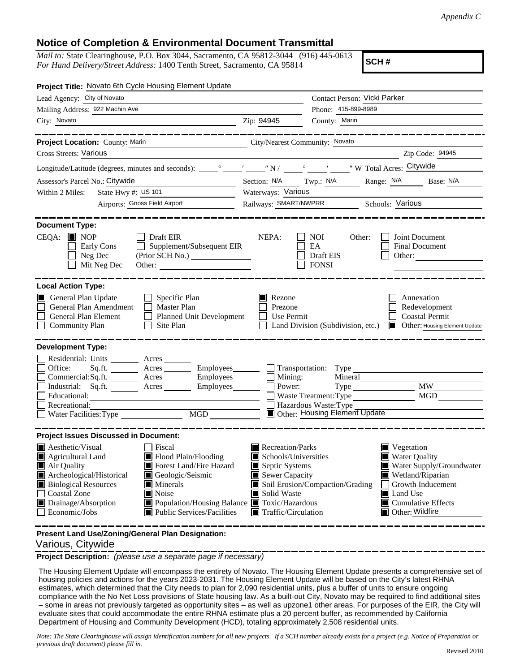*Appendix C*

## **Notice of Completion & Environmental Document Transmittal**

*Mail to:* State Clearinghouse, P.O. Box 3044, Sacramento, CA 95812-3044 (916) 445-0613 *For Hand Delivery/Street Address:* 1400 Tenth Street, Sacramento, CA 95814

**SCH #**

| Project Title: Novato 6th Cycle Housing Element Update                                                                                                                                                                                                                                                                                                                                                                                       |                                                                                                                                                                                                                                                                                                                                                                          |  |  |
|----------------------------------------------------------------------------------------------------------------------------------------------------------------------------------------------------------------------------------------------------------------------------------------------------------------------------------------------------------------------------------------------------------------------------------------------|--------------------------------------------------------------------------------------------------------------------------------------------------------------------------------------------------------------------------------------------------------------------------------------------------------------------------------------------------------------------------|--|--|
| Lead Agency: City of Novato                                                                                                                                                                                                                                                                                                                                                                                                                  | Contact Person: Vicki Parker                                                                                                                                                                                                                                                                                                                                             |  |  |
| Mailing Address: 922 Machin Ave                                                                                                                                                                                                                                                                                                                                                                                                              | Phone: 415-899-8989                                                                                                                                                                                                                                                                                                                                                      |  |  |
| City: Novato<br><u> 1980 - Johann Barbara, martin a</u>                                                                                                                                                                                                                                                                                                                                                                                      | Zip: 94945<br>County: Marin                                                                                                                                                                                                                                                                                                                                              |  |  |
| Project Location: County: Marin                                                                                                                                                                                                                                                                                                                                                                                                              | City/Nearest Community: Novato                                                                                                                                                                                                                                                                                                                                           |  |  |
| Cross Streets: Various                                                                                                                                                                                                                                                                                                                                                                                                                       | Zip Code: 94945                                                                                                                                                                                                                                                                                                                                                          |  |  |
|                                                                                                                                                                                                                                                                                                                                                                                                                                              |                                                                                                                                                                                                                                                                                                                                                                          |  |  |
| Assessor's Parcel No.: Citywide<br><u> 1990 - Johann Barbara, martin a</u>                                                                                                                                                                                                                                                                                                                                                                   | Section: N/A Twp.: N/A<br>Range: N/A Base: N/A                                                                                                                                                                                                                                                                                                                           |  |  |
| State Hwy #: US 101<br>Within 2 Miles:                                                                                                                                                                                                                                                                                                                                                                                                       | Waterways: Various                                                                                                                                                                                                                                                                                                                                                       |  |  |
| Airports: Gnoss Field Airport                                                                                                                                                                                                                                                                                                                                                                                                                | Railways: SMART/NWPRR Schools: Various                                                                                                                                                                                                                                                                                                                                   |  |  |
| <b>Document Type:</b><br>$CEQA:$ MOP<br>$\Box$ Draft EIR<br>Supplement/Subsequent EIR<br>Early Cons<br>Neg Dec<br>Mit Neg Dec<br>Other:                                                                                                                                                                                                                                                                                                      | NEPA:<br>Joint Document<br>NOI<br>Other:<br>EA<br>Final Document<br>Draft EIS<br>Other:<br><b>FONSI</b>                                                                                                                                                                                                                                                                  |  |  |
| <b>Local Action Type:</b><br>General Plan Update<br>$\Box$ Specific Plan<br>General Plan Amendment<br>$\Box$ Master Plan<br><b>General Plan Element</b><br>Planned Unit Development<br><b>Community Plan</b><br>Site Plan<br>$\perp$                                                                                                                                                                                                         | $\blacksquare$ Rezone<br>Annexation<br>Prezone<br>Redevelopment<br><b>Coastal Permit</b><br>Use Permit<br>$\mathsf{L}$<br>Land Division (Subdivision, etc.)<br>Other: Housing Element Update                                                                                                                                                                             |  |  |
| <b>Development Type:</b><br>Residential: Units ________ Acres ______<br>Office:<br>Commercial:Sq.ft. ________ Acres _________ Employees _______ $\Box$ Mining:<br>Industrial: Sq.ft.<br>Acres Employees Power:<br>Educational:<br>Recreational:<br>Water Facilities: Type                                                                                                                                                                    | Sq.ft. _________ Acres __________ Employees________ ___ Transportation: Type _____________<br>Mineral<br>$\overline{\text{MW}}$<br>MGD<br>Waste Treatment: Type<br>Hazardous Waste: Type<br>Other: Housing Element Update                                                                                                                                                |  |  |
| <b>Project Issues Discussed in Document:</b><br>$\blacksquare$ Aesthetic/Visual<br><b>Fiscal</b><br>Agricultural Land<br>Flood Plain/Flooding<br>Forest Land/Fire Hazard<br>Air Quality<br>Archeological/Historical<br>Geologic/Seismic<br><b>Biological Resources</b><br>Minerals<br>Noise<br><b>Coastal Zone</b><br>Drainage/Absorption<br>■ Population/Housing Balance ■ Toxic/Hazardous<br>Economic/Jobs<br>■ Public Services/Facilities | Recreation/Parks<br>Vegetation<br>Schools/Universities<br><b>Water Quality</b><br>Septic Systems<br>Water Supply/Groundwater<br>$\blacksquare$ Sewer Capacity<br>Wetland/Riparian<br>Soil Erosion/Compaction/Grading<br>Growth Inducement<br>Solid Waste<br>Land Use<br>IЦ<br>$\blacksquare$ Cumulative Effects<br>Other: Wildfire<br>$\blacksquare$ Traffic/Circulation |  |  |
|                                                                                                                                                                                                                                                                                                                                                                                                                                              |                                                                                                                                                                                                                                                                                                                                                                          |  |  |

**Present Land Use/Zoning/General Plan Designation:**

## Various, Citywide

**Project Description:** *(please use a separate page if necessary)*

 The Housing Element Update will encompass the entirety of Novato. The Housing Element Update presents a comprehensive set of housing policies and actions for the years 2023-2031. The Housing Element Update will be based on the City's latest RHNA estimates, which determined that the City needs to plan for 2,090 residential units, plus a buffer of units to ensure ongoing compliance with the No Net Loss provisions of State housing law. As a built-out City, Novato may be required to find additional sites – some in areas not previously targeted as opportunity sites – as well as upzone1 other areas. For purposes of the EIR, the City will evaluate sites that could accommodate the entire RHNA estimate plus a 20 percent buffer, as recommended by California Department of Housing and Community Development (HCD), totaling approximately 2,508 residential units.

*Note: The State Clearinghouse will assign identification numbers for all new projects. If a SCH number already exists for a project (e.g. Notice of Preparation or previous draft document) please fill in.*